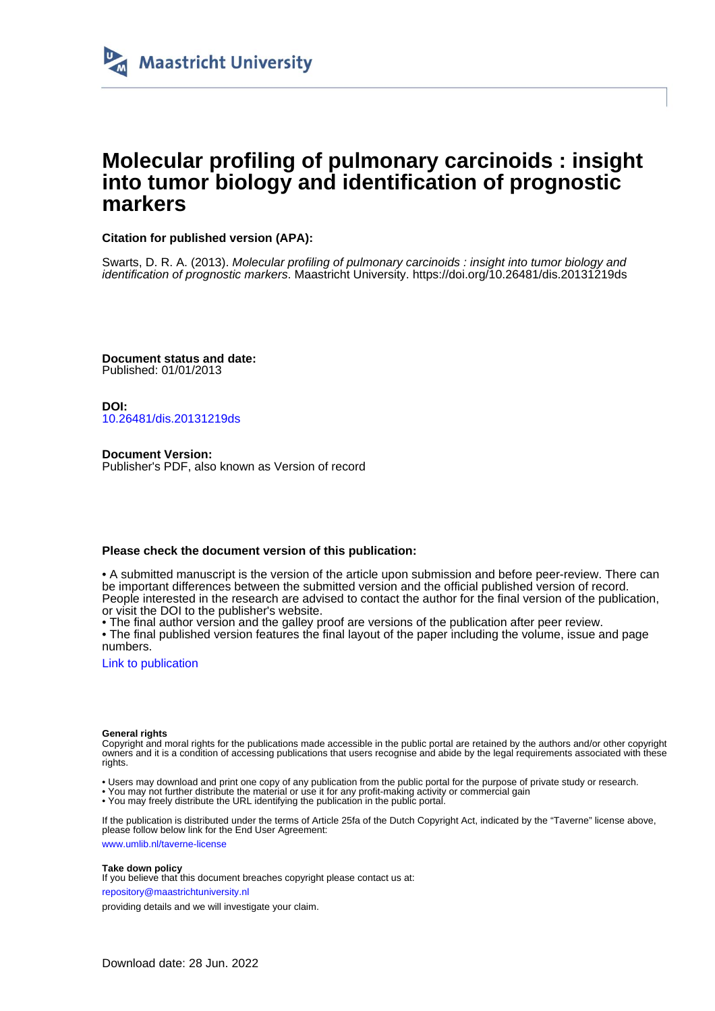

# **Molecular profiling of pulmonary carcinoids : insight into tumor biology and identification of prognostic markers**

### **Citation for published version (APA):**

Swarts, D. R. A. (2013). Molecular profiling of pulmonary carcinoids : insight into tumor biology and identification of prognostic markers. Maastricht University.<https://doi.org/10.26481/dis.20131219ds>

**Document status and date:** Published: 01/01/2013

**DOI:** [10.26481/dis.20131219ds](https://doi.org/10.26481/dis.20131219ds)

**Document Version:** Publisher's PDF, also known as Version of record

### **Please check the document version of this publication:**

• A submitted manuscript is the version of the article upon submission and before peer-review. There can be important differences between the submitted version and the official published version of record. People interested in the research are advised to contact the author for the final version of the publication, or visit the DOI to the publisher's website.

• The final author version and the galley proof are versions of the publication after peer review.

• The final published version features the final layout of the paper including the volume, issue and page numbers.

[Link to publication](https://cris.maastrichtuniversity.nl/en/publications/41504bb2-94ea-4721-b51b-22255bf51819)

#### **General rights**

Copyright and moral rights for the publications made accessible in the public portal are retained by the authors and/or other copyright owners and it is a condition of accessing publications that users recognise and abide by the legal requirements associated with these rights.

- Users may download and print one copy of any publication from the public portal for the purpose of private study or research.
- You may not further distribute the material or use it for any profit-making activity or commercial gain
- You may freely distribute the URL identifying the publication in the public portal.

If the publication is distributed under the terms of Article 25fa of the Dutch Copyright Act, indicated by the "Taverne" license above, please follow below link for the End User Agreement:

www.umlib.nl/taverne-license

#### **Take down policy**

If you believe that this document breaches copyright please contact us at:

repository@maastrichtuniversity.nl

providing details and we will investigate your claim.